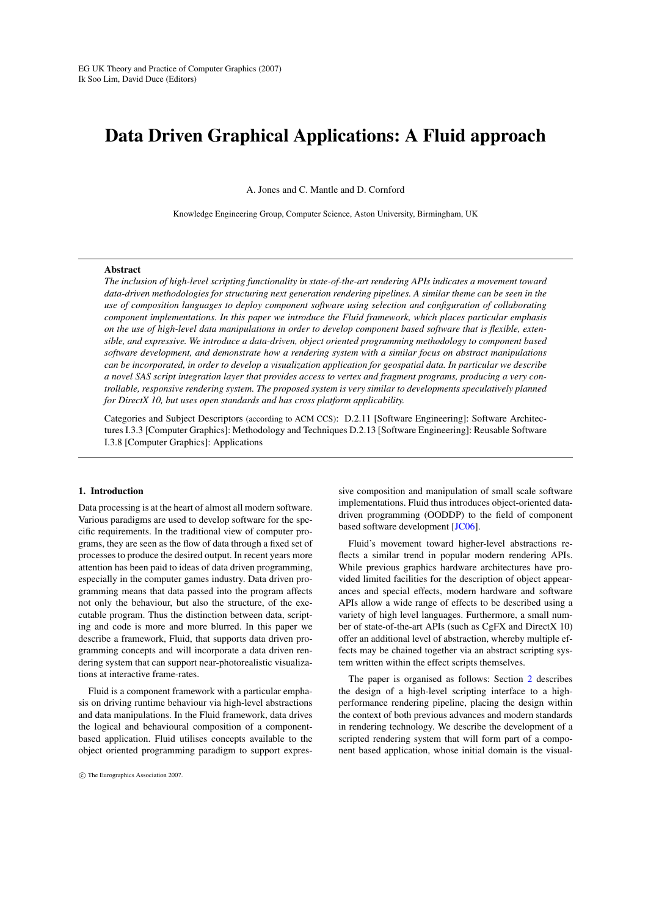# Data Driven Graphical Applications: A Fluid approach

A. Jones and C. Mantle and D. Cornford

Knowledge Engineering Group, Computer Science, Aston University, Birmingham, UK

## Abstract

*The inclusion of high-level scripting functionality in state-of-the-art rendering APIs indicates a movement toward data-driven methodologies for structuring next generation rendering pipelines. A similar theme can be seen in the use of composition languages to deploy component software using selection and configuration of collaborating component implementations. In this paper we introduce the Fluid framework, which places particular emphasis on the use of high-level data manipulations in order to develop component based software that is flexible, extensible, and expressive. We introduce a data-driven, object oriented programming methodology to component based software development, and demonstrate how a rendering system with a similar focus on abstract manipulations can be incorporated, in order to develop a visualization application for geospatial data. In particular we describe a novel SAS script integration layer that provides access to vertex and fragment programs, producing a very controllable, responsive rendering system. The proposed system is very similar to developments speculatively planned for DirectX 10, but uses open standards and has cross platform applicability.*

Categories and Subject Descriptors (according to ACM CCS): D.2.11 [Software Engineering]: Software Architectures I.3.3 [Computer Graphics]: Methodology and Techniques D.2.13 [Software Engineering]: Reusable Software I.3.8 [Computer Graphics]: Applications

## 1. Introduction

Data processing is at the heart of almost all modern software. Various paradigms are used to develop software for the specific requirements. In the traditional view of computer programs, they are seen as the flow of data through a fixed set of processes to produce the desired output. In recent years more attention has been paid to ideas of data driven programming, especially in the computer games industry. Data driven programming means that data passed into the program affects not only the behaviour, but also the structure, of the executable program. Thus the distinction between data, scripting and code is more and more blurred. In this paper we describe a framework, Fluid, that supports data driven programming concepts and will incorporate a data driven rendering system that can support near-photorealistic visualizations at interactive frame-rates.

Fluid is a component framework with a particular emphasis on driving runtime behaviour via high-level abstractions and data manipulations. In the Fluid framework, data drives the logical and behavioural composition of a componentbased application. Fluid utilises concepts available to the object oriented programming paradigm to support expres-

sive composition and manipulation of small scale software implementations. Fluid thus introduces object-oriented datadriven programming (OODDP) to the field of component based software development [\[JC06\]](#page-7-0).

Fluid's movement toward higher-level abstractions reflects a similar trend in popular modern rendering APIs. While previous graphics hardware architectures have provided limited facilities for the description of object appearances and special effects, modern hardware and software APIs allow a wide range of effects to be described using a variety of high level languages. Furthermore, a small number of state-of-the-art APIs (such as CgFX and DirectX 10) offer an additional level of abstraction, whereby multiple effects may be chained together via an abstract scripting system written within the effect scripts themselves.

The paper is organised as follows: Section [2](#page-1-0) describes the design of a high-level scripting interface to a highperformance rendering pipeline, placing the design within the context of both previous advances and modern standards in rendering technology. We describe the development of a scripted rendering system that will form part of a component based application, whose initial domain is the visual-

c The Eurographics Association 2007.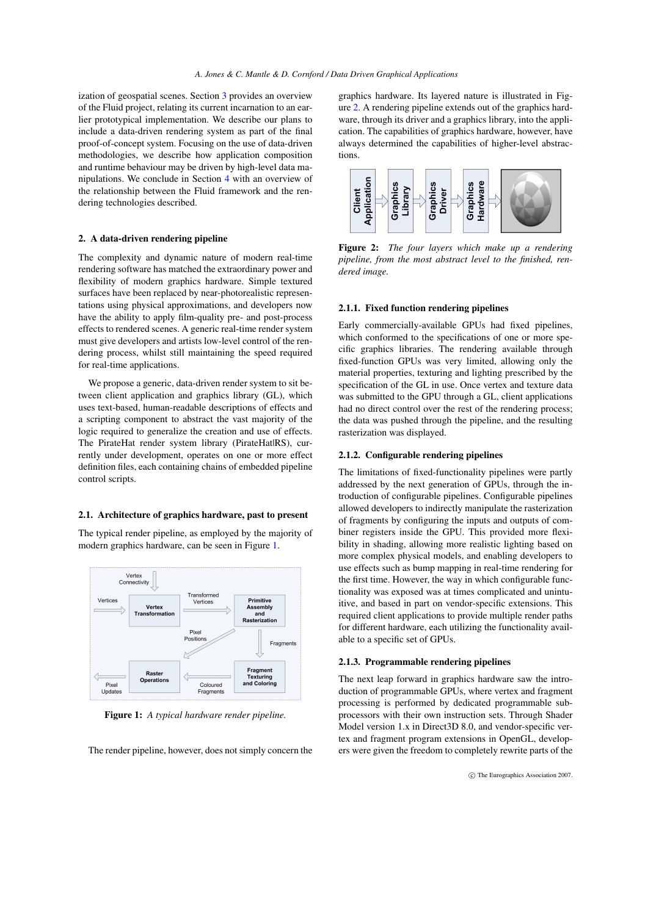ization of geospatial scenes. Section [3](#page-4-0) provides an overview of the Fluid project, relating its current incarnation to an earlier prototypical implementation. We describe our plans to include a data-driven rendering system as part of the final proof-of-concept system. Focusing on the use of data-driven methodologies, we describe how application composition and runtime behaviour may be driven by high-level data manipulations. We conclude in Section [4](#page-7-1) with an overview of the relationship between the Fluid framework and the rendering technologies described.

## <span id="page-1-0"></span>2. A data-driven rendering pipeline

The complexity and dynamic nature of modern real-time rendering software has matched the extraordinary power and flexibility of modern graphics hardware. Simple textured surfaces have been replaced by near-photorealistic representations using physical approximations, and developers now have the ability to apply film-quality pre- and post-process effects to rendered scenes. A generic real-time render system must give developers and artists low-level control of the rendering process, whilst still maintaining the speed required for real-time applications.

We propose a generic, data-driven render system to sit between client application and graphics library (GL), which uses text-based, human-readable descriptions of effects and a scripting component to abstract the vast majority of the logic required to generalize the creation and use of effects. The PirateHat render system library (PirateHatlRS), currently under development, operates on one or more effect definition files, each containing chains of embedded pipeline control scripts.

#### 2.1. Architecture of graphics hardware, past to present

The typical render pipeline, as employed by the majority of modern graphics hardware, can be seen in Figure [1.](#page-1-1)



<span id="page-1-1"></span>Figure 1: *A typical hardware render pipeline.*

The render pipeline, however, does not simply concern the

graphics hardware. Its layered nature is illustrated in Figure [2.](#page-1-2) A rendering pipeline extends out of the graphics hardware, through its driver and a graphics library, into the application. The capabilities of graphics hardware, however, have always determined the capabilities of higher-level abstractions.



<span id="page-1-2"></span>Figure 2: *The four layers which make up a rendering pipeline, from the most abstract level to the finished, rendered image.*

## 2.1.1. Fixed function rendering pipelines

Early commercially-available GPUs had fixed pipelines, which conformed to the specifications of one or more specific graphics libraries. The rendering available through fixed-function GPUs was very limited, allowing only the material properties, texturing and lighting prescribed by the specification of the GL in use. Once vertex and texture data was submitted to the GPU through a GL, client applications had no direct control over the rest of the rendering process; the data was pushed through the pipeline, and the resulting rasterization was displayed.

#### 2.1.2. Configurable rendering pipelines

The limitations of fixed-functionality pipelines were partly addressed by the next generation of GPUs, through the introduction of configurable pipelines. Configurable pipelines allowed developers to indirectly manipulate the rasterization of fragments by configuring the inputs and outputs of combiner registers inside the GPU. This provided more flexibility in shading, allowing more realistic lighting based on more complex physical models, and enabling developers to use effects such as bump mapping in real-time rendering for the first time. However, the way in which configurable functionality was exposed was at times complicated and unintuitive, and based in part on vendor-specific extensions. This required client applications to provide multiple render paths for different hardware, each utilizing the functionality available to a specific set of GPUs.

## 2.1.3. Programmable rendering pipelines

The next leap forward in graphics hardware saw the introduction of programmable GPUs, where vertex and fragment processing is performed by dedicated programmable subprocessors with their own instruction sets. Through Shader Model version 1.x in Direct3D 8.0, and vendor-specific vertex and fragment program extensions in OpenGL, developers were given the freedom to completely rewrite parts of the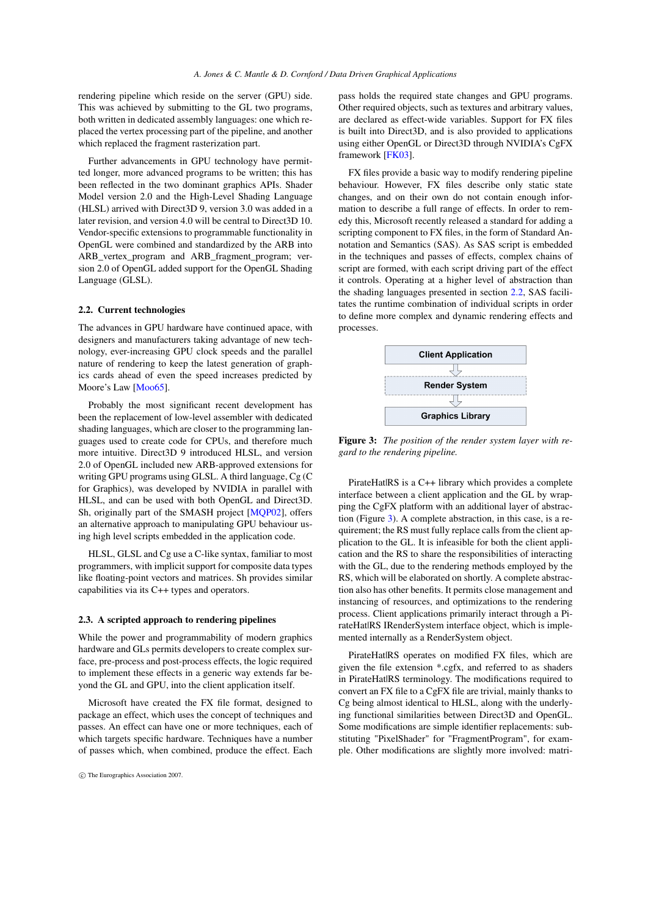rendering pipeline which reside on the server (GPU) side. This was achieved by submitting to the GL two programs, both written in dedicated assembly languages: one which replaced the vertex processing part of the pipeline, and another which replaced the fragment rasterization part.

Further advancements in GPU technology have permitted longer, more advanced programs to be written; this has been reflected in the two dominant graphics APIs. Shader Model version 2.0 and the High-Level Shading Language (HLSL) arrived with Direct3D 9, version 3.0 was added in a later revision, and version 4.0 will be central to Direct3D 10. Vendor-specific extensions to programmable functionality in OpenGL were combined and standardized by the ARB into ARB\_vertex\_program and ARB\_fragment\_program; version 2.0 of OpenGL added support for the OpenGL Shading Language (GLSL).

#### <span id="page-2-0"></span>2.2. Current technologies

The advances in GPU hardware have continued apace, with designers and manufacturers taking advantage of new technology, ever-increasing GPU clock speeds and the parallel nature of rendering to keep the latest generation of graphics cards ahead of even the speed increases predicted by Moore's Law [\[Moo65\]](#page-7-2).

Probably the most significant recent development has been the replacement of low-level assembler with dedicated shading languages, which are closer to the programming languages used to create code for CPUs, and therefore much more intuitive. Direct3D 9 introduced HLSL, and version 2.0 of OpenGL included new ARB-approved extensions for writing GPU programs using GLSL. A third language, Cg (C for Graphics), was developed by NVIDIA in parallel with HLSL, and can be used with both OpenGL and Direct3D. Sh, originally part of the SMASH project [\[MQP02\]](#page-7-3), offers an alternative approach to manipulating GPU behaviour using high level scripts embedded in the application code.

HLSL, GLSL and Cg use a C-like syntax, familiar to most programmers, with implicit support for composite data types like floating-point vectors and matrices. Sh provides similar capabilities via its C++ types and operators.

## 2.3. A scripted approach to rendering pipelines

While the power and programmability of modern graphics hardware and GLs permits developers to create complex surface, pre-process and post-process effects, the logic required to implement these effects in a generic way extends far beyond the GL and GPU, into the client application itself.

Microsoft have created the FX file format, designed to package an effect, which uses the concept of techniques and passes. An effect can have one or more techniques, each of which targets specific hardware. Techniques have a number of passes which, when combined, produce the effect. Each pass holds the required state changes and GPU programs. Other required objects, such as textures and arbitrary values, are declared as effect-wide variables. Support for FX files is built into Direct3D, and is also provided to applications using either OpenGL or Direct3D through NVIDIA's CgFX framework [\[FK03\]](#page-7-4).

FX files provide a basic way to modify rendering pipeline behaviour. However, FX files describe only static state changes, and on their own do not contain enough information to describe a full range of effects. In order to remedy this, Microsoft recently released a standard for adding a scripting component to FX files, in the form of Standard Annotation and Semantics (SAS). As SAS script is embedded in the techniques and passes of effects, complex chains of script are formed, with each script driving part of the effect it controls. Operating at a higher level of abstraction than the shading languages presented in section [2.2,](#page-2-0) SAS facilitates the runtime combination of individual scripts in order to define more complex and dynamic rendering effects and processes.



<span id="page-2-1"></span>Figure 3: *The position of the render system layer with regard to the rendering pipeline.*

PirateHat|RS is a C++ library which provides a complete interface between a client application and the GL by wrapping the CgFX platform with an additional layer of abstraction (Figure [3\)](#page-2-1). A complete abstraction, in this case, is a requirement; the RS must fully replace calls from the client application to the GL. It is infeasible for both the client application and the RS to share the responsibilities of interacting with the GL, due to the rendering methods employed by the RS, which will be elaborated on shortly. A complete abstraction also has other benefits. It permits close management and instancing of resources, and optimizations to the rendering process. Client applications primarily interact through a PirateHat|RS IRenderSystem interface object, which is implemented internally as a RenderSystem object.

PirateHat|RS operates on modified FX files, which are given the file extension \*.cgfx, and referred to as shaders in PirateHat|RS terminology. The modifications required to convert an FX file to a CgFX file are trivial, mainly thanks to Cg being almost identical to HLSL, along with the underlying functional similarities between Direct3D and OpenGL. Some modifications are simple identifier replacements: substituting "PixelShader" for "FragmentProgram", for example. Other modifications are slightly more involved: matri-

c The Eurographics Association 2007.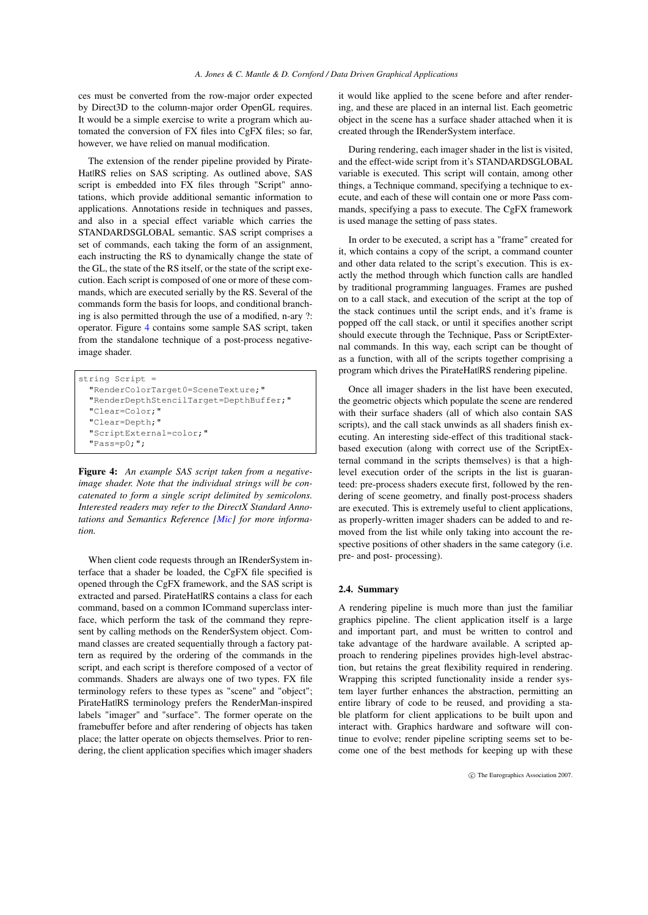ces must be converted from the row-major order expected by Direct3D to the column-major order OpenGL requires. It would be a simple exercise to write a program which automated the conversion of FX files into CgFX files; so far, however, we have relied on manual modification.

The extension of the render pipeline provided by Pirate-Hat|RS relies on SAS scripting. As outlined above, SAS script is embedded into FX files through "Script" annotations, which provide additional semantic information to applications. Annotations reside in techniques and passes, and also in a special effect variable which carries the STANDARDSGLOBAL semantic. SAS script comprises a set of commands, each taking the form of an assignment, each instructing the RS to dynamically change the state of the GL, the state of the RS itself, or the state of the script execution. Each script is composed of one or more of these commands, which are executed serially by the RS. Several of the commands form the basis for loops, and conditional branching is also permitted through the use of a modified, n-ary ?: operator. Figure [4](#page-3-0) contains some sample SAS script, taken from the standalone technique of a post-process negativeimage shader.

```
string Script =
"RenderColorTarget0=SceneTexture;"
"RenderDepthStencilTarget=DepthBuffer;"
"Clear=Color;"
"Clear=Depth;"
"ScriptExternal=color;"
"Pass=p0;";
```
<span id="page-3-0"></span>Figure 4: *An example SAS script taken from a negativeimage shader. Note that the individual strings will be concatenated to form a single script delimited by semicolons. Interested readers may refer to the DirectX Standard Annotations and Semantics Reference [\[Mic\]](#page-7-5) for more information.*

When client code requests through an IRenderSystem interface that a shader be loaded, the CgFX file specified is opened through the CgFX framework, and the SAS script is extracted and parsed. PirateHat|RS contains a class for each command, based on a common ICommand superclass interface, which perform the task of the command they represent by calling methods on the RenderSystem object. Command classes are created sequentially through a factory pattern as required by the ordering of the commands in the script, and each script is therefore composed of a vector of commands. Shaders are always one of two types. FX file terminology refers to these types as "scene" and "object"; PirateHat|RS terminology prefers the RenderMan-inspired labels "imager" and "surface". The former operate on the framebuffer before and after rendering of objects has taken place; the latter operate on objects themselves. Prior to rendering, the client application specifies which imager shaders it would like applied to the scene before and after rendering, and these are placed in an internal list. Each geometric object in the scene has a surface shader attached when it is created through the IRenderSystem interface.

During rendering, each imager shader in the list is visited, and the effect-wide script from it's STANDARDSGLOBAL variable is executed. This script will contain, among other things, a Technique command, specifying a technique to execute, and each of these will contain one or more Pass commands, specifying a pass to execute. The CgFX framework is used manage the setting of pass states.

In order to be executed, a script has a "frame" created for it, which contains a copy of the script, a command counter and other data related to the script's execution. This is exactly the method through which function calls are handled by traditional programming languages. Frames are pushed on to a call stack, and execution of the script at the top of the stack continues until the script ends, and it's frame is popped off the call stack, or until it specifies another script should execute through the Technique, Pass or ScriptExternal commands. In this way, each script can be thought of as a function, with all of the scripts together comprising a program which drives the PirateHat|RS rendering pipeline.

Once all imager shaders in the list have been executed, the geometric objects which populate the scene are rendered with their surface shaders (all of which also contain SAS scripts), and the call stack unwinds as all shaders finish executing. An interesting side-effect of this traditional stackbased execution (along with correct use of the ScriptExternal command in the scripts themselves) is that a highlevel execution order of the scripts in the list is guaranteed: pre-process shaders execute first, followed by the rendering of scene geometry, and finally post-process shaders are executed. This is extremely useful to client applications, as properly-written imager shaders can be added to and removed from the list while only taking into account the respective positions of other shaders in the same category (i.e. pre- and post- processing).

## 2.4. Summary

A rendering pipeline is much more than just the familiar graphics pipeline. The client application itself is a large and important part, and must be written to control and take advantage of the hardware available. A scripted approach to rendering pipelines provides high-level abstraction, but retains the great flexibility required in rendering. Wrapping this scripted functionality inside a render system layer further enhances the abstraction, permitting an entire library of code to be reused, and providing a stable platform for client applications to be built upon and interact with. Graphics hardware and software will continue to evolve; render pipeline scripting seems set to become one of the best methods for keeping up with these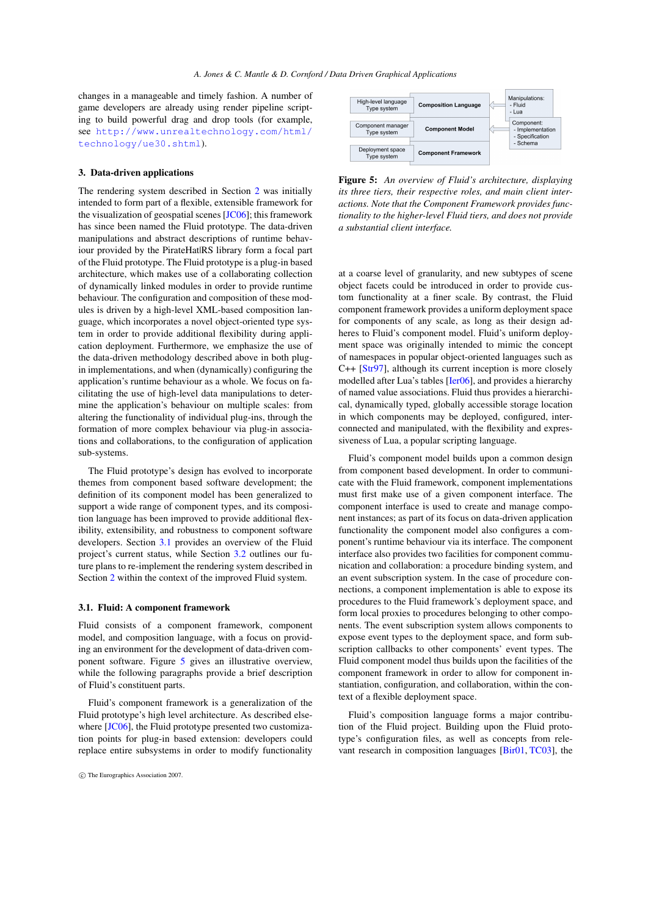changes in a manageable and timely fashion. A number of game developers are already using render pipeline scripting to build powerful drag and drop tools (for example, see [http://www.unrealtechnology.com/html/](http://www.unrealtechnology.com/html/technology/ue30.shtml) [technology/ue30.shtml](http://www.unrealtechnology.com/html/technology/ue30.shtml)).

#### <span id="page-4-0"></span>3. Data-driven applications

The rendering system described in Section [2](#page-1-0) was initially intended to form part of a flexible, extensible framework for the visualization of geospatial scenes [\[JC06\]](#page-7-0); this framework has since been named the Fluid prototype. The data-driven manipulations and abstract descriptions of runtime behaviour provided by the PirateHat|RS library form a focal part of the Fluid prototype. The Fluid prototype is a plug-in based architecture, which makes use of a collaborating collection of dynamically linked modules in order to provide runtime behaviour. The configuration and composition of these modules is driven by a high-level XML-based composition language, which incorporates a novel object-oriented type system in order to provide additional flexibility during application deployment. Furthermore, we emphasize the use of the data-driven methodology described above in both plugin implementations, and when (dynamically) configuring the application's runtime behaviour as a whole. We focus on facilitating the use of high-level data manipulations to determine the application's behaviour on multiple scales: from altering the functionality of individual plug-ins, through the formation of more complex behaviour via plug-in associations and collaborations, to the configuration of application sub-systems.

The Fluid prototype's design has evolved to incorporate themes from component based software development; the definition of its component model has been generalized to support a wide range of component types, and its composition language has been improved to provide additional flexibility, extensibility, and robustness to component software developers. Section [3.1](#page-4-1) provides an overview of the Fluid project's current status, while Section [3.2](#page-5-0) outlines our future plans to re-implement the rendering system described in Section [2](#page-1-0) within the context of the improved Fluid system.

#### <span id="page-4-1"></span>3.1. Fluid: A component framework

Fluid consists of a component framework, component model, and composition language, with a focus on providing an environment for the development of data-driven component software. Figure [5](#page-4-2) gives an illustrative overview, while the following paragraphs provide a brief description of Fluid's constituent parts.

Fluid's component framework is a generalization of the Fluid prototype's high level architecture. As described elsewhere [\[JC06\]](#page-7-0), the Fluid prototype presented two customization points for plug-in based extension: developers could replace entire subsystems in order to modify functionality



<span id="page-4-2"></span>Figure 5: *An overview of Fluid's architecture, displaying its three tiers, their respective roles, and main client interactions. Note that the Component Framework provides functionality to the higher-level Fluid tiers, and does not provide a substantial client interface.*

at a coarse level of granularity, and new subtypes of scene object facets could be introduced in order to provide custom functionality at a finer scale. By contrast, the Fluid component framework provides a uniform deployment space for components of any scale, as long as their design adheres to Fluid's component model. Fluid's uniform deployment space was originally intended to mimic the concept of namespaces in popular object-oriented languages such as C++ [\[Str97\]](#page-7-6), although its current inception is more closely modelled after Lua's tables [\[Ier06\]](#page-7-7), and provides a hierarchy of named value associations. Fluid thus provides a hierarchical, dynamically typed, globally accessible storage location in which components may be deployed, configured, interconnected and manipulated, with the flexibility and expressiveness of Lua, a popular scripting language.

Fluid's component model builds upon a common design from component based development. In order to communicate with the Fluid framework, component implementations must first make use of a given component interface. The component interface is used to create and manage component instances; as part of its focus on data-driven application functionality the component model also configures a component's runtime behaviour via its interface. The component interface also provides two facilities for component communication and collaboration: a procedure binding system, and an event subscription system. In the case of procedure connections, a component implementation is able to expose its procedures to the Fluid framework's deployment space, and form local proxies to procedures belonging to other components. The event subscription system allows components to expose event types to the deployment space, and form subscription callbacks to other components' event types. The Fluid component model thus builds upon the facilities of the component framework in order to allow for component instantiation, configuration, and collaboration, within the context of a flexible deployment space.

Fluid's composition language forms a major contribution of the Fluid project. Building upon the Fluid prototype's configuration files, as well as concepts from relevant research in composition languages [\[Bir01,](#page-7-8) [TC03\]](#page-7-9), the

c The Eurographics Association 2007.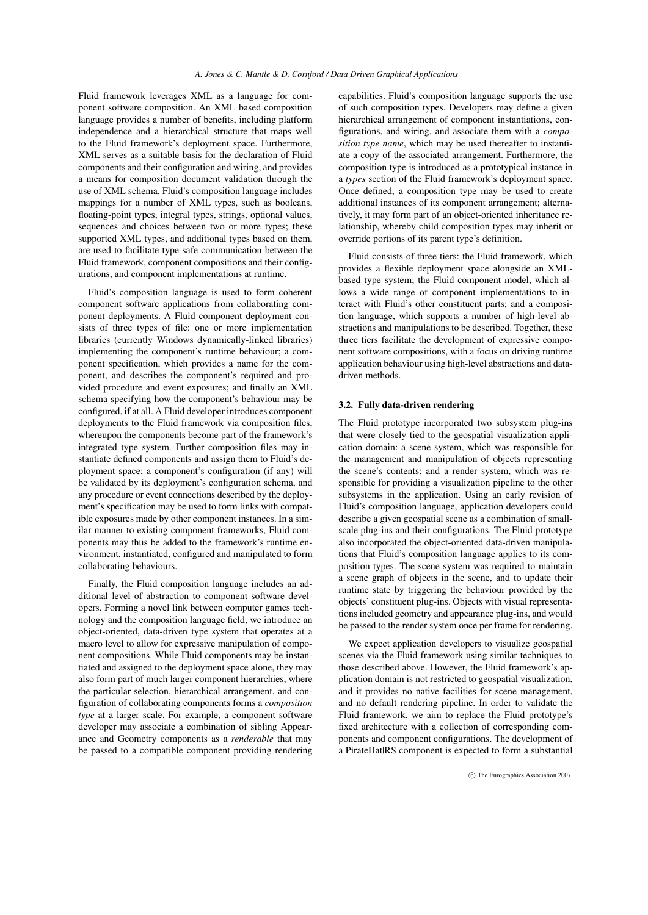Fluid framework leverages XML as a language for component software composition. An XML based composition language provides a number of benefits, including platform independence and a hierarchical structure that maps well to the Fluid framework's deployment space. Furthermore, XML serves as a suitable basis for the declaration of Fluid components and their configuration and wiring, and provides a means for composition document validation through the use of XML schema. Fluid's composition language includes mappings for a number of XML types, such as booleans, floating-point types, integral types, strings, optional values, sequences and choices between two or more types; these supported XML types, and additional types based on them, are used to facilitate type-safe communication between the Fluid framework, component compositions and their configurations, and component implementations at runtime.

Fluid's composition language is used to form coherent component software applications from collaborating component deployments. A Fluid component deployment consists of three types of file: one or more implementation libraries (currently Windows dynamically-linked libraries) implementing the component's runtime behaviour; a component specification, which provides a name for the component, and describes the component's required and provided procedure and event exposures; and finally an XML schema specifying how the component's behaviour may be configured, if at all. A Fluid developer introduces component deployments to the Fluid framework via composition files, whereupon the components become part of the framework's integrated type system. Further composition files may instantiate defined components and assign them to Fluid's deployment space; a component's configuration (if any) will be validated by its deployment's configuration schema, and any procedure or event connections described by the deployment's specification may be used to form links with compatible exposures made by other component instances. In a similar manner to existing component frameworks, Fluid components may thus be added to the framework's runtime environment, instantiated, configured and manipulated to form collaborating behaviours.

Finally, the Fluid composition language includes an additional level of abstraction to component software developers. Forming a novel link between computer games technology and the composition language field, we introduce an object-oriented, data-driven type system that operates at a macro level to allow for expressive manipulation of component compositions. While Fluid components may be instantiated and assigned to the deployment space alone, they may also form part of much larger component hierarchies, where the particular selection, hierarchical arrangement, and configuration of collaborating components forms a *composition type* at a larger scale. For example, a component software developer may associate a combination of sibling Appearance and Geometry components as a *renderable* that may be passed to a compatible component providing rendering

capabilities. Fluid's composition language supports the use of such composition types. Developers may define a given hierarchical arrangement of component instantiations, configurations, and wiring, and associate them with a *composition type name*, which may be used thereafter to instantiate a copy of the associated arrangement. Furthermore, the composition type is introduced as a prototypical instance in a *types* section of the Fluid framework's deployment space. Once defined, a composition type may be used to create additional instances of its component arrangement; alternatively, it may form part of an object-oriented inheritance relationship, whereby child composition types may inherit or override portions of its parent type's definition.

Fluid consists of three tiers: the Fluid framework, which provides a flexible deployment space alongside an XMLbased type system; the Fluid component model, which allows a wide range of component implementations to interact with Fluid's other constituent parts; and a composition language, which supports a number of high-level abstractions and manipulations to be described. Together, these three tiers facilitate the development of expressive component software compositions, with a focus on driving runtime application behaviour using high-level abstractions and datadriven methods.

#### <span id="page-5-0"></span>3.2. Fully data-driven rendering

The Fluid prototype incorporated two subsystem plug-ins that were closely tied to the geospatial visualization application domain: a scene system, which was responsible for the management and manipulation of objects representing the scene's contents; and a render system, which was responsible for providing a visualization pipeline to the other subsystems in the application. Using an early revision of Fluid's composition language, application developers could describe a given geospatial scene as a combination of smallscale plug-ins and their configurations. The Fluid prototype also incorporated the object-oriented data-driven manipulations that Fluid's composition language applies to its composition types. The scene system was required to maintain a scene graph of objects in the scene, and to update their runtime state by triggering the behaviour provided by the objects' constituent plug-ins. Objects with visual representations included geometry and appearance plug-ins, and would be passed to the render system once per frame for rendering.

We expect application developers to visualize geospatial scenes via the Fluid framework using similar techniques to those described above. However, the Fluid framework's application domain is not restricted to geospatial visualization, and it provides no native facilities for scene management, and no default rendering pipeline. In order to validate the Fluid framework, we aim to replace the Fluid prototype's fixed architecture with a collection of corresponding components and component configurations. The development of a PirateHat|RS component is expected to form a substantial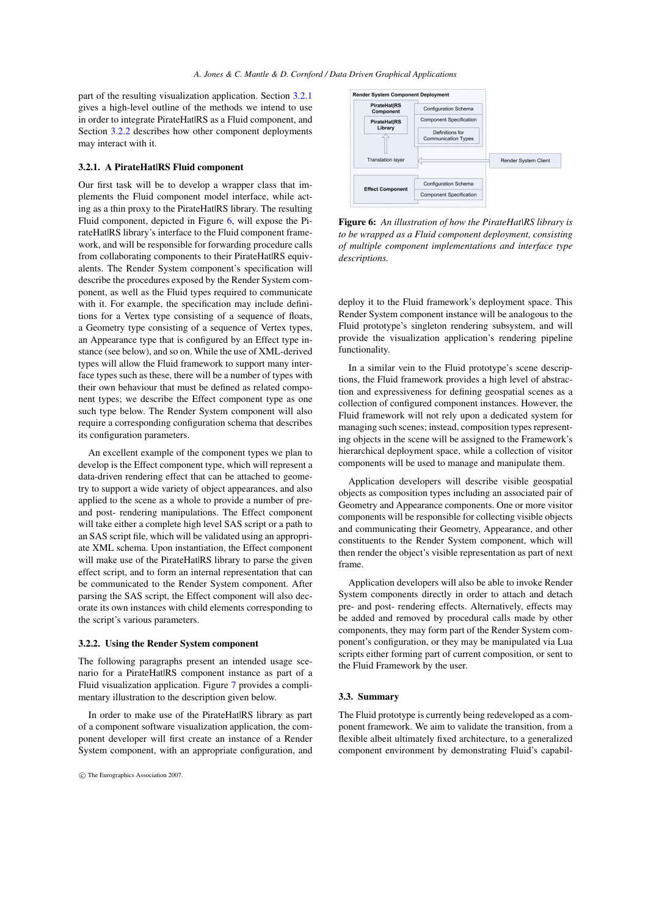part of the resulting visualization application. Section [3.2.1](#page-6-0) gives a high-level outline of the methods we intend to use in order to integrate PirateHat|RS as a Fluid component, and Section [3.2.2](#page-6-1) describes how other component deployments may interact with it.

## <span id="page-6-0"></span>3.2.1. A PirateHat|RS Fluid component

Our first task will be to develop a wrapper class that implements the Fluid component model interface, while acting as a thin proxy to the PirateHat|RS library. The resulting Fluid component, depicted in Figure [6,](#page-6-2) will expose the PirateHat|RS library's interface to the Fluid component framework, and will be responsible for forwarding procedure calls from collaborating components to their PirateHat|RS equivalents. The Render System component's specification will describe the procedures exposed by the Render System component, as well as the Fluid types required to communicate with it. For example, the specification may include definitions for a Vertex type consisting of a sequence of floats, a Geometry type consisting of a sequence of Vertex types, an Appearance type that is configured by an Effect type instance (see below), and so on. While the use of XML-derived types will allow the Fluid framework to support many interface types such as these, there will be a number of types with their own behaviour that must be defined as related component types; we describe the Effect component type as one such type below. The Render System component will also require a corresponding configuration schema that describes its configuration parameters.

An excellent example of the component types we plan to develop is the Effect component type, which will represent a data-driven rendering effect that can be attached to geometry to support a wide variety of object appearances, and also applied to the scene as a whole to provide a number of preand post- rendering manipulations. The Effect component will take either a complete high level SAS script or a path to an SAS script file, which will be validated using an appropriate XML schema. Upon instantiation, the Effect component will make use of the PirateHat|RS library to parse the given effect script, and to form an internal representation that can be communicated to the Render System component. After parsing the SAS script, the Effect component will also decorate its own instances with child elements corresponding to the script's various parameters.

## <span id="page-6-1"></span>3.2.2. Using the Render System component

The following paragraphs present an intended usage scenario for a PirateHat|RS component instance as part of a Fluid visualization application. Figure [7](#page-7-10) provides a complimentary illustration to the description given below.

In order to make use of the PirateHat|RS library as part of a component software visualization application, the component developer will first create an instance of a Render System component, with an appropriate configuration, and



<span id="page-6-2"></span>Figure 6: *An illustration of how the PirateHat|RS library is to be wrapped as a Fluid component deployment, consisting of multiple component implementations and interface type descriptions.*

deploy it to the Fluid framework's deployment space. This Render System component instance will be analogous to the Fluid prototype's singleton rendering subsystem, and will provide the visualization application's rendering pipeline functionality.

In a similar vein to the Fluid prototype's scene descriptions, the Fluid framework provides a high level of abstraction and expressiveness for defining geospatial scenes as a collection of configured component instances. However, the Fluid framework will not rely upon a dedicated system for managing such scenes; instead, composition types representing objects in the scene will be assigned to the Framework's hierarchical deployment space, while a collection of visitor components will be used to manage and manipulate them.

Application developers will describe visible geospatial objects as composition types including an associated pair of Geometry and Appearance components. One or more visitor components will be responsible for collecting visible objects and communicating their Geometry, Appearance, and other constituents to the Render System component, which will then render the object's visible representation as part of next frame.

Application developers will also be able to invoke Render System components directly in order to attach and detach pre- and post- rendering effects. Alternatively, effects may be added and removed by procedural calls made by other components, they may form part of the Render System component's configuration, or they may be manipulated via Lua scripts either forming part of current composition, or sent to the Fluid Framework by the user.

#### 3.3. Summary

The Fluid prototype is currently being redeveloped as a component framework. We aim to validate the transition, from a flexible albeit ultimately fixed architecture, to a generalized component environment by demonstrating Fluid's capabil-